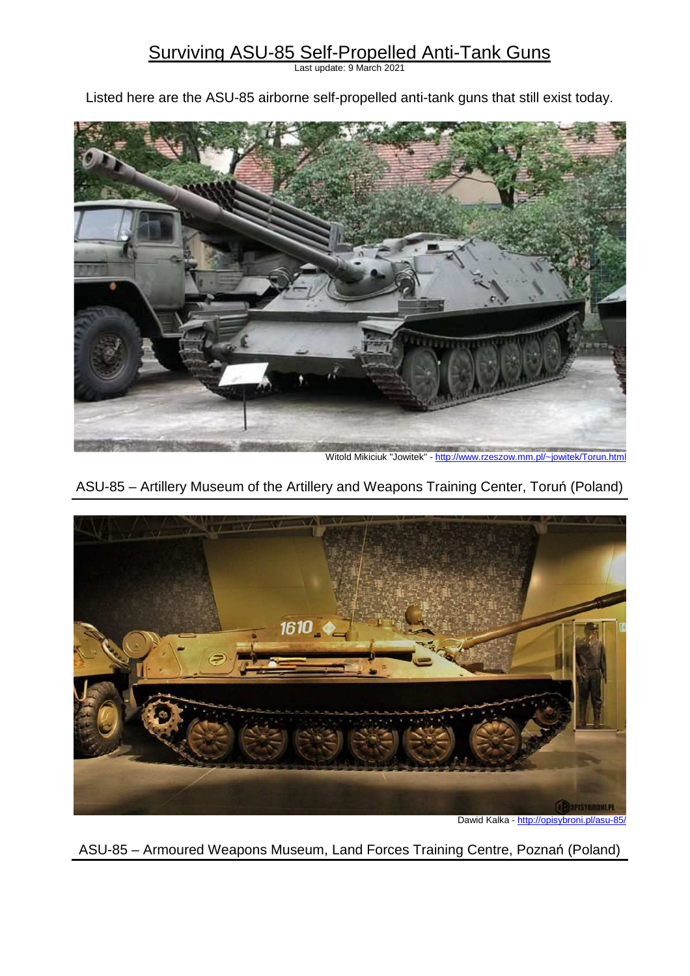# Surviving ASU-85 Self-Propelled Anti-Tank Guns

Last update: 9 March 2021

Listed here are the ASU-85 airborne self-propelled anti-tank guns that still exist today.



Witold Mikiciuk "Jowitek" - http://www.rzeszow.mm.pl/~jowitek/Torun.html





Dawid Kalka - http://opisybroni.pl/asu-85/

ASU-85 – Armoured Weapons Museum, Land Forces Training Centre, Poznań (Poland)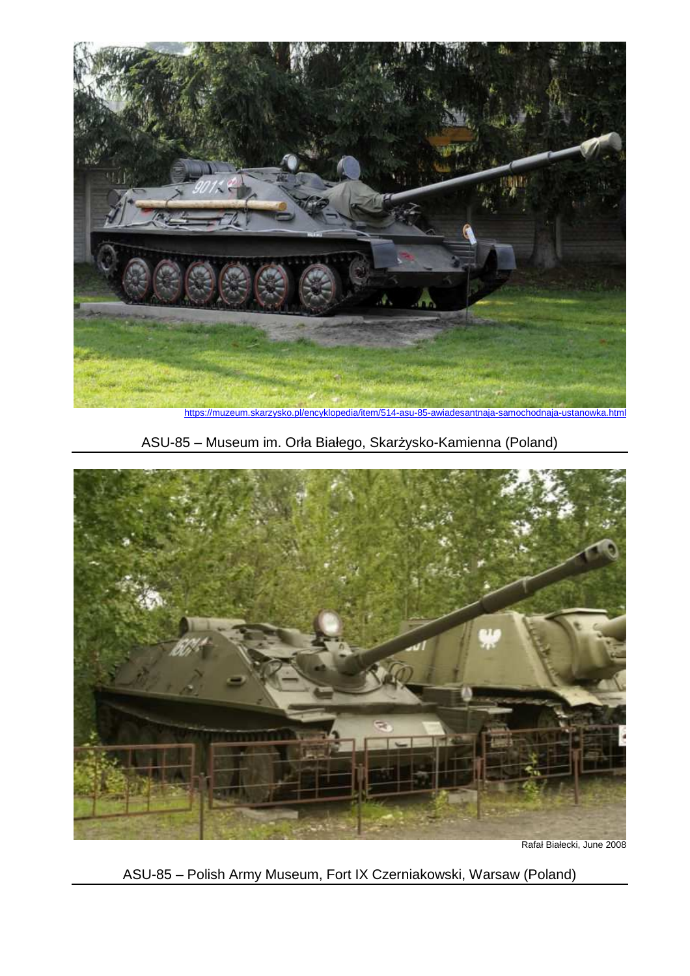

ASU-85 – Museum im. Orła Białego, Skarżysko-Kamienna (Poland)



Rafał Białecki, June 2008

ASU-85 – Polish Army Museum, Fort IX Czerniakowski, Warsaw (Poland)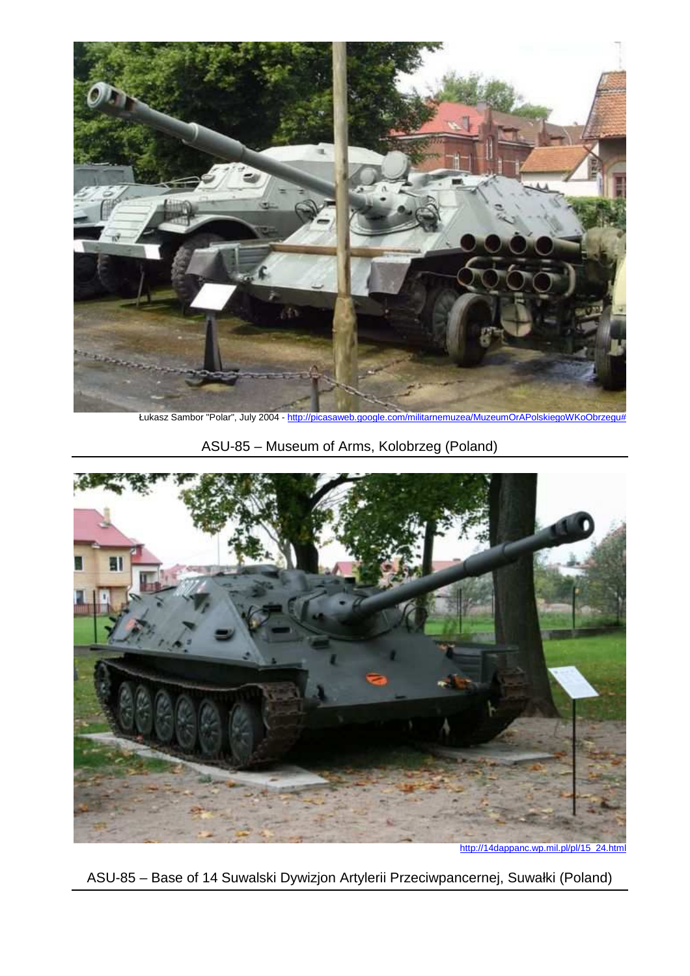

Łukasz Sambor "Polar", July 2004 - http://picasaweb.google.com/militarnemuzea/MuzeumOrAPolskiegoWKoObrzegu#

ASU-85 – Museum of Arms, Kolobrzeg (Poland)



http://14dappanc.wp.mil.pl/pl/15\_24.html

ASU-85 – Base of 14 Suwalski Dywizjon Artylerii Przeciwpancernej, Suwałki (Poland)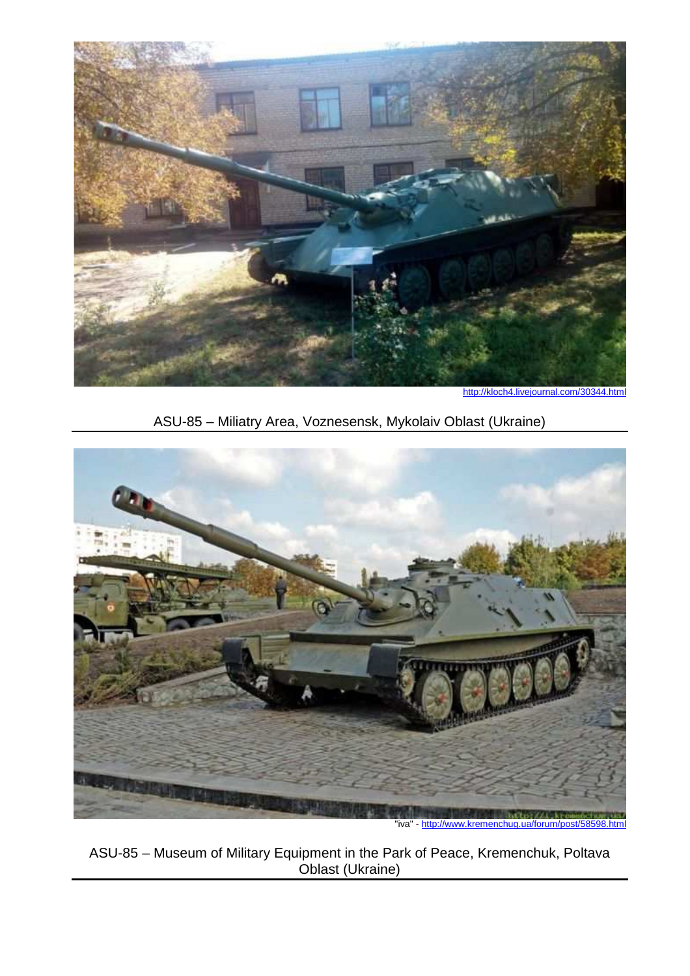

http://kloch4.livejournal.com/30344.html

ASU-85 – Miliatry Area, Voznesensk, Mykolaiv Oblast (Ukraine)



"iva" - http://www.kremenchug.ua/forum/post/58598.html

ASU-85 – Museum of Military Equipment in the Park of Peace, Kremenchuk, Poltava Oblast (Ukraine)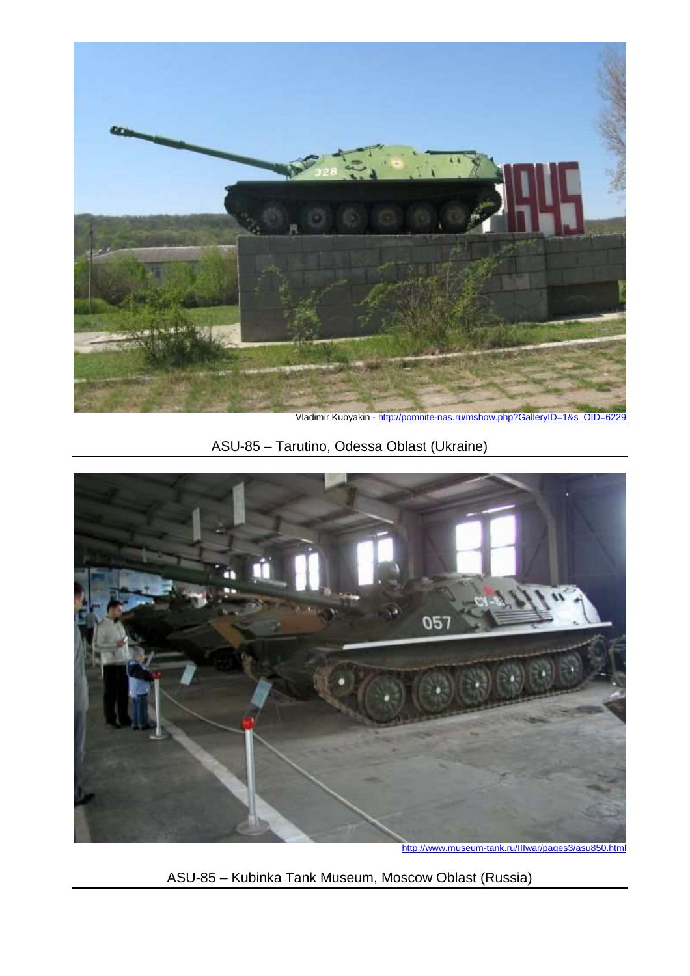

Vladimir Kubyakin - http://pomnite-nas.ru/mshow.php?GalleryID=1&s\_OID=6229

ASU-85 – Tarutino, Odessa Oblast (Ukraine)



ASU-85 – Kubinka Tank Museum, Moscow Oblast (Russia)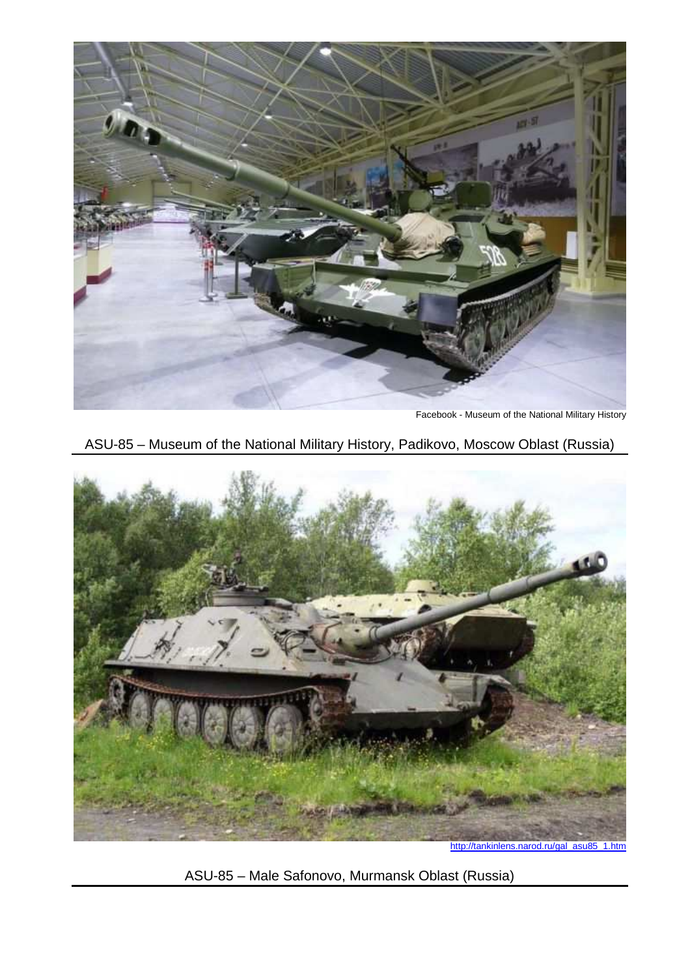

Facebook - Museum of the National Military History

ASU-85 – Museum of the National Military History, Padikovo, Moscow Oblast (Russia)



http://tankinlens.narod.ru/gal\_asu85\_1.htm

ASU-85 – Male Safonovo, Murmansk Oblast (Russia)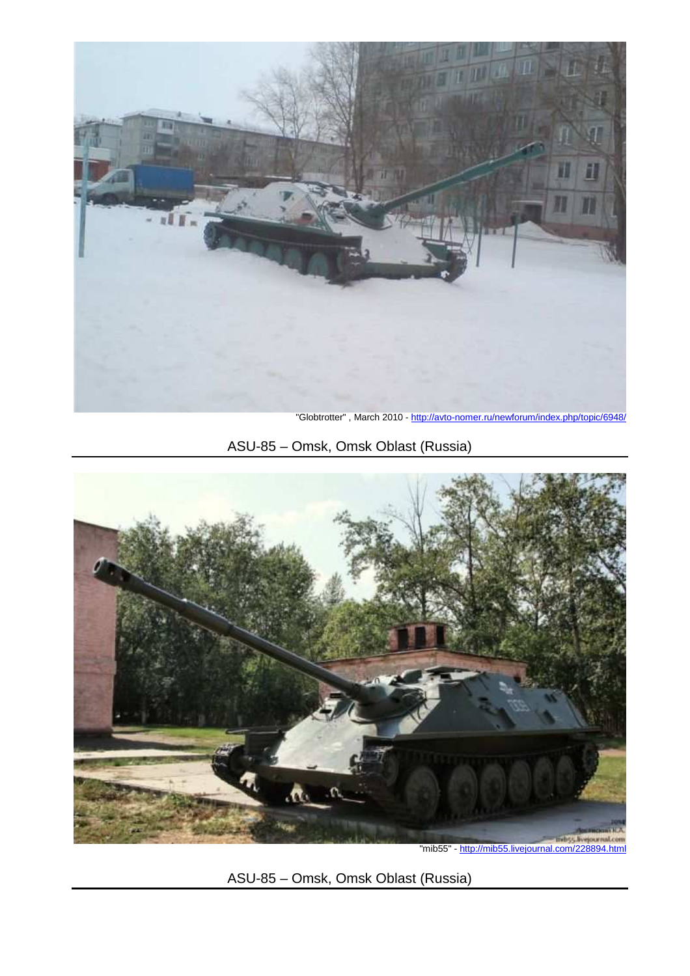

"Globtrotter" , March 2010 - http://avto-nomer.ru/newforum/index.php/topic/6948/

# ASU-85 – Omsk, Omsk Oblast (Russia)



ASU-85 – Omsk, Omsk Oblast (Russia)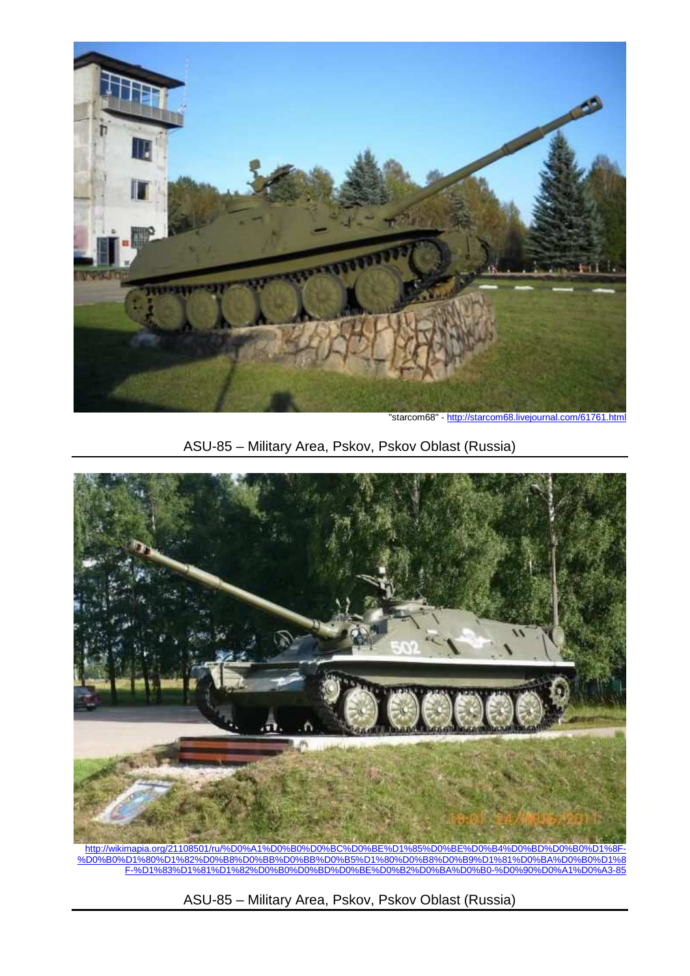

"starcom68" - http://starcom68.livejournal.com/61761.html

## ASU-85 – Military Area, Pskov, Pskov Oblast (Russia)



http://wikimapia.org/21108501/ru/%D0%A1%D0%B0%D0%BC%D0%BE%D1%85%D0%BE%D0%B4%D0%BD%D0%B0%D1%8F- %D0%B0%D1%80%D1%82%D0%B8%D0%BB%D0%BB%D0%B5%D1%80%D0%B8%D0%B9%D1%81%D0%BA%D0%B0%D1%8 F-%D1%83%D1%81%D1%82%D0%B0%D0%BD%D0%BE%D0%B2%D0%BA%D0%B0-%D0%90%D0%A1%D0%A3-85

ASU-85 – Military Area, Pskov, Pskov Oblast (Russia)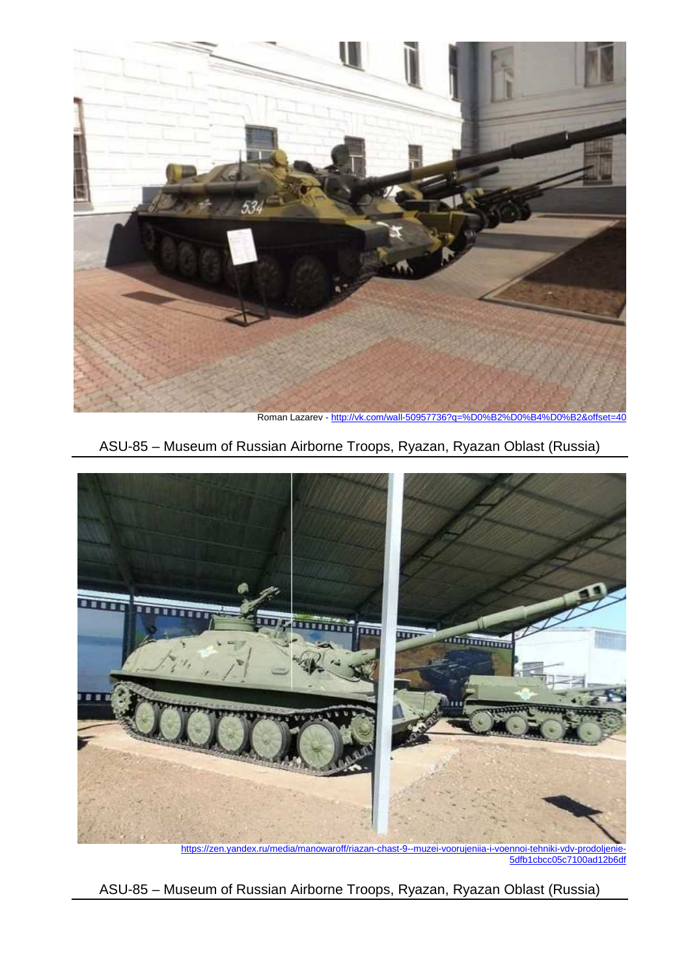

Roman Lazarev - http://vk.com/wall-50957736?q=%D0%B2%D0%B4%D0%B2&offset=40

### ASU-85 – Museum of Russian Airborne Troops, Ryazan, Ryazan Oblast (Russia)



https://zen.yandex.ru/media/manowaroff/riazan-chast-9--muzei-voorujeniia-i-voennoi-tehniki-vdv-prodoljenie-5dfb1cbcc05c7100ad12b6df

ASU-85 – Museum of Russian Airborne Troops, Ryazan, Ryazan Oblast (Russia)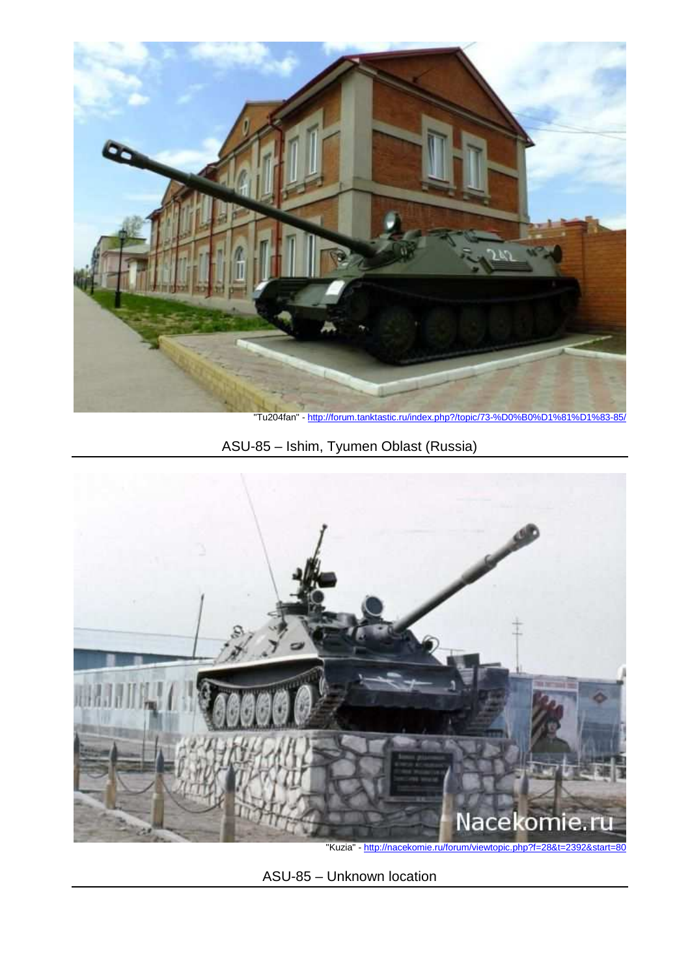

"Tu204fan" - http://forum.tanktastic.ru/index.php?/topic/73-%D0%B0

ASU-85 – Ishim, Tyumen Oblast (Russia)



"Kuzia" - http://nacekomie.ru/forum/viewtopic.php?f=28&t=2392&start=80

ASU-85 – Unknown location